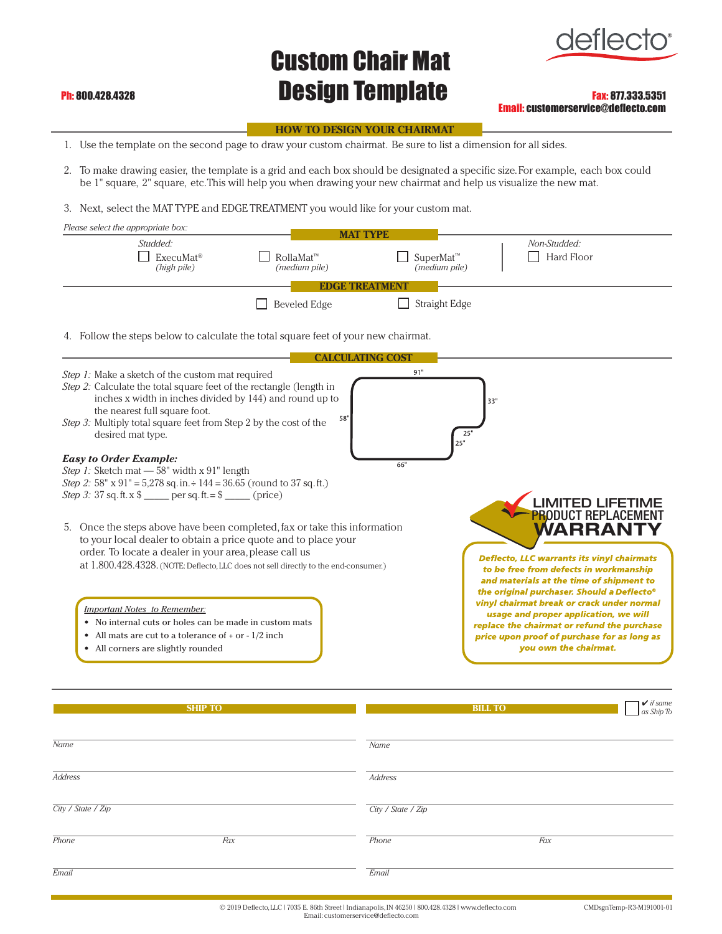## Custom Chair Mat **Ph: 800.428.4328 Design Template** Fax: 877.333.5351



Email: customerservice@deflecto.com

## **HOW TO DESIGN YOUR CHAIRMAT**

- 1. Use the template on the second page to draw your custom chairmat. Be sure to list a dimension for all sides.
- 2. To make drawing easier, the template is a grid and each box should be designated a specific size. For example, each box could be 1" square, 2" square, etc. This will help you when drawing your new chairmat and help us visualize the new mat.
- 3. Next, select the MAT TYPE and EDGE TREATMENT you would like for your custom mat.

| Please select the appropriate box:                                                                                                                                                                                                                                                                             |                                      | <b>MAT TYPE</b>                             |                                                                                                                                                                                                                                |
|----------------------------------------------------------------------------------------------------------------------------------------------------------------------------------------------------------------------------------------------------------------------------------------------------------------|--------------------------------------|---------------------------------------------|--------------------------------------------------------------------------------------------------------------------------------------------------------------------------------------------------------------------------------|
| Studded:<br>ExecuMat <sup>®</sup><br>(high pile)                                                                                                                                                                                                                                                               | RollaMat™<br>(medium pile)           | SuperMat™<br>(medium pile)                  | Non-Studded:<br>Hard Floor                                                                                                                                                                                                     |
|                                                                                                                                                                                                                                                                                                                | EDGE TREATMEN<br><b>Beveled Edge</b> | Straight Edge                               |                                                                                                                                                                                                                                |
| 4. Follow the steps below to calculate the total square feet of your new chairmat.                                                                                                                                                                                                                             |                                      |                                             |                                                                                                                                                                                                                                |
| Step 1: Make a sketch of the custom mat required<br>Step 2: Calculate the total square feet of the rectangle (length in<br>inches x width in inches divided by 144) and round up to<br>the nearest full square foot.<br>Step 3: Multiply total square feet from Step 2 by the cost of the<br>desired mat type. | 58"                                  | <b>CALCULATING COST</b><br>91"<br>25<br>25" | 33"                                                                                                                                                                                                                            |
| <b>Easy to Order Example:</b><br>Step 1: Sketch mat - 58" width x 91" length<br>Step 2: 58" x 91" = 5,278 sq. in. $\div$ 144 = 36.65 (round to 37 sq. ft.)<br><i>Step 3:</i> 37 sq. ft. x $\frac{1}{2}$ _____ per sq. ft. = $\frac{1}{2}$ ____ (price)                                                         |                                      | 66"                                         | <b>LIMITED LIFETIME</b>                                                                                                                                                                                                        |
| Once the steps above have been completed, fax or take this information<br>5.<br>to your local dealer to obtain a price quote and to place your<br>order. To locate a dealer in your area, please call us<br>at 1.800.428.4328. (NOTE: Deflecto, LLC does not sell directly to the end-consumer.)               |                                      |                                             | <b>PRODUCT REPLACEMENT</b><br>WARRANT<br><b>Deflecto, LLC warrants its vinyl chairmats</b><br>to be free from defects in workmanship<br>and materials at the time of shipment to<br>the original purchaser. Should a Deflecto® |
| <b>Important Notes to Remember:</b><br>• No internal cuts or holes can be made in custom mats<br>• All mats are cut to a tolerance of $+$ or $-1/2$ inch<br>All corners are slightly rounded                                                                                                                   |                                      |                                             | vinyl chairmat break or crack under normal<br>usage and proper application, we will<br>replace the chairmat or refund the purchase<br>price upon proof of purchase for as long as<br>you own the chairmat.                     |
| <b>SHIP TO</b>                                                                                                                                                                                                                                                                                                 |                                      |                                             | $\vee$ if same<br><b>BILL TO</b><br>as Ship To                                                                                                                                                                                 |

| Name               |     | Name               |     |
|--------------------|-----|--------------------|-----|
| <b>Address</b>     |     | Address            |     |
| City / State / Zip |     | City / State / Zip |     |
| Phone              | Fax | Phone              | Fax |
| Email              |     | Email              |     |